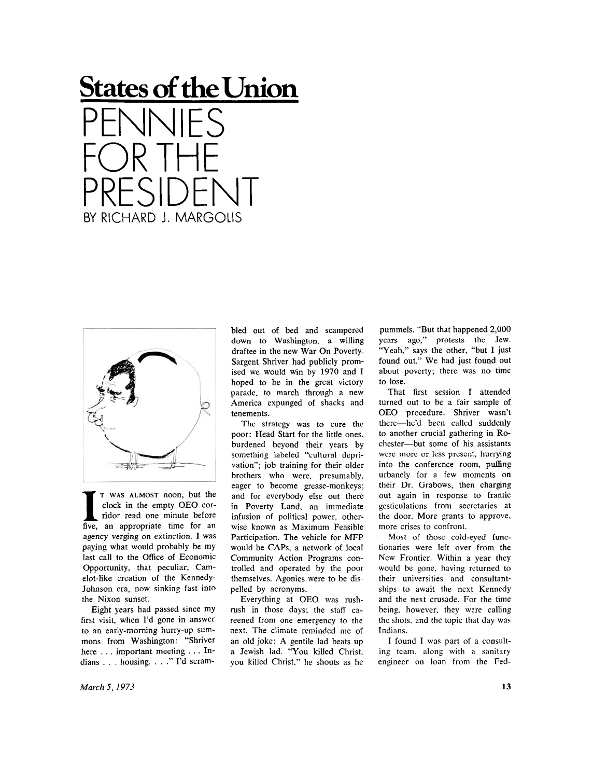**States of the Union**  PENNIES FOR THE PRESIDENT **BY RICHARD J. MARGOLIS** 



**I T** WAS ALMOST noon, but the clock in the empty OEO corridor read one minute before five, an appropriate time for an T WAS ALMOST noon, but the clock in the empty OEO corridor read one minute before agency verging on extinction. I was paying what would probably be my last call to the Office of Economic Opportunity, that peculiar, Camelot-like creation of the Kennedy-Johnson era, now sinking fast into the Nixon sunset.

Eight years had passed since my first visit, when I'd gone in answer to an early-morning hurry-up summons from Washington: "Shriver here . . . important meeting .. . Indians . . . housing. . . ." I'd scram-

bled out of bed and scampered down to Washington, a willing draftee in the new War On Poverty. Sargent Shriver had publicly promised we would win by 1970 and I hoped to be in the great victory parade, to march through a new America expunged of shacks and tenements.

The strategy was to cure the poor: Head Start for the little ones, burdened beyond their years by something labeled "cultural deprivation"; job training for their older brothers who were, presumably, eager to become grease-monkeys; and for everybody else out there in Poverty Land, an immediate infusion of political power, otherwise known as Maximum Feasible Participation. The vehicle for MFP would be CAPs, a network of local Community Action Programs controlled and operated by the poor themselves. Agonies were to be dispelled by acronyms.

Everything at OEO was rushrush in those days; the staff careened from one emergency to the next. The climate reminded me of an old joke: A gentile lad beats up a Jewish lad. "You killed Christ, you killed Christ," he shouts as he

pummels. "But that happened 2,000 years ago," protests the Jew. "Yeah," says the other, "but I just found out." We had just found out about poverty; there was no time to lose.

That first session I attended turned out to be a fair sample of OEO procedure. Shriver wasn't there—he'd been called suddenly to another crucial gathering in Ro chester—but some of his assistants were more or less present, hurrying into the conference room, puffing urbanely for a few moments on their Dr. Grabows, then charging out again in response to frantic gesticulations from secretaries at the door. More grants to approve, more crises to confront.

Most of those cold-eyed functionaries were left over from the New Frontier. Within a year they would be gone, having returned to their universities and consultantships to await the next Kennedy and the next crusade. For the time being, however, they were calling the shots, and the topic that day was Indians.

I found I was part of a consulting team, along with a sanitary engineer on loan from the *Fed-*